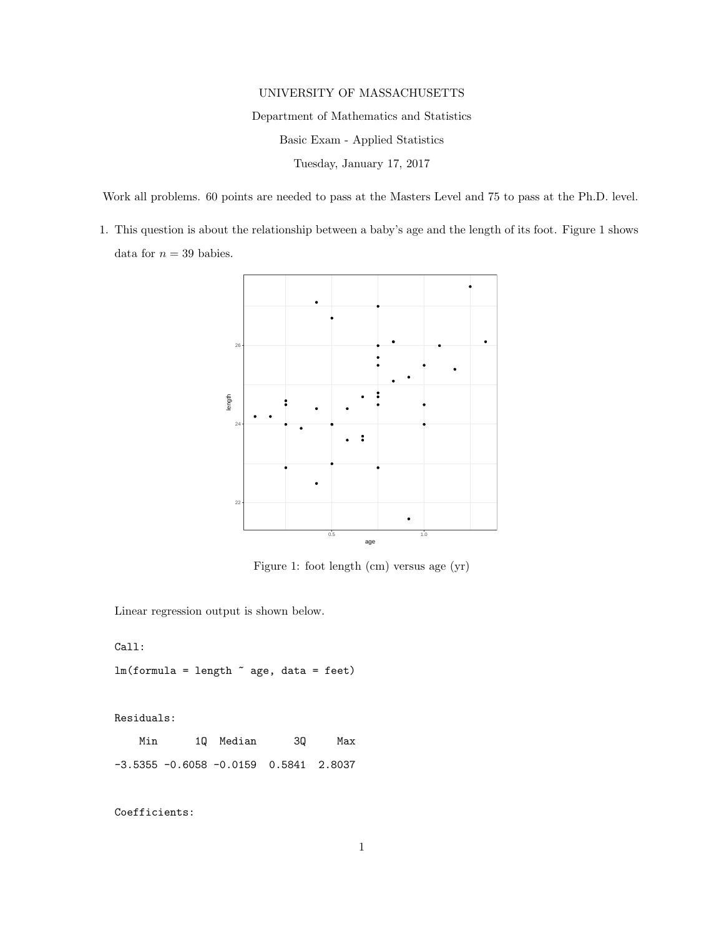## UNIVERSITY OF MASSACHUSETTS

Department of Mathematics and Statistics

Basic Exam - Applied Statistics

Tuesday, January 17, 2017

Work all problems. 60 points are needed to pass at the Masters Level and 75 to pass at the Ph.D. level.

1. This question is about the relationship between a baby's age and the length of its foot. Figure 1 shows data for  $n = 39$  babies.



Figure 1: foot length (cm) versus age (yr)

Linear regression output is shown below.

Call:

 $lm(formula = length ~ age, data = feet)$ 

Residuals:

Min 1Q Median 3Q Max -3.5355 -0.6058 -0.0159 0.5841 2.8037

Coefficients: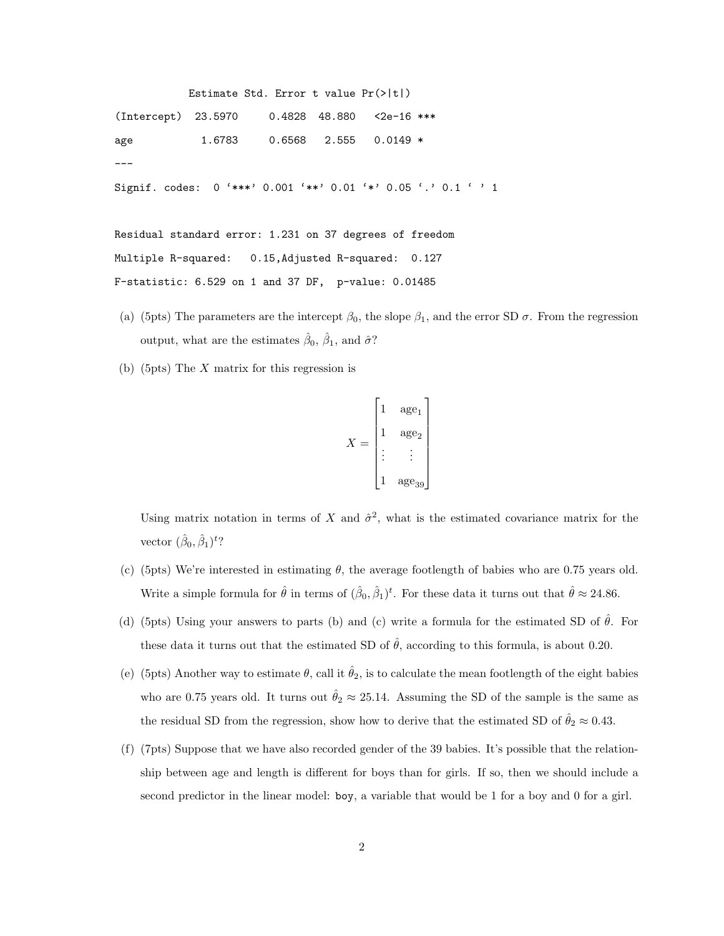```
Estimate Std. Error t value Pr(>|t|)
(Intercept) 23.5970 0.4828 48.880 <2e-16 ***
age 1.6783 0.6568 2.555 0.0149 *
---
Signif. codes: 0 '***' 0.001 '**' 0.01 '*' 0.05 '.' 0.1 ' ' 1
Residual standard error: 1.231 on 37 degrees of freedom
Multiple R-squared: 0.15,Adjusted R-squared: 0.127
```
F-statistic: 6.529 on 1 and 37 DF, p-value: 0.01485

- (a) (5pts) The parameters are the intercept  $\beta_0$ , the slope  $\beta_1$ , and the error SD  $\sigma$ . From the regression output, what are the estimates  $\hat{\beta}_0$ ,  $\hat{\beta}_1$ , and  $\hat{\sigma}$ ?
- (b) (5pts) The X matrix for this regression is

$$
X = \begin{bmatrix} 1 & \text{age}_1 \\ 1 & \text{age}_2 \\ \vdots & \vdots \\ 1 & \text{age}_{39} \end{bmatrix}
$$

Using matrix notation in terms of X and  $\hat{\sigma}^2$ , what is the estimated covariance matrix for the vector  $(\hat{\beta}_0, \hat{\beta}_1)^t$ ?

- (c) (5pts) We're interested in estimating  $\theta$ , the average footlength of babies who are 0.75 years old. Write a simple formula for  $\hat{\theta}$  in terms of  $(\hat{\beta}_0, \hat{\beta}_1)^t$ . For these data it turns out that  $\hat{\theta} \approx 24.86$ .
- (d) (5pts) Using your answers to parts (b) and (c) write a formula for the estimated SD of  $\hat{\theta}$ . For these data it turns out that the estimated SD of  $\hat{\theta}$ , according to this formula, is about 0.20.
- (e) (5pts) Another way to estimate  $\theta$ , call it  $\hat{\theta}_2$ , is to calculate the mean footlength of the eight babies who are 0.75 years old. It turns out  $\hat{\theta}_2 \approx 25.14$ . Assuming the SD of the sample is the same as the residual SD from the regression, show how to derive that the estimated SD of  $\hat{\theta}_2 \approx 0.43$ .
- (f) (7pts) Suppose that we have also recorded gender of the 39 babies. It's possible that the relationship between age and length is different for boys than for girls. If so, then we should include a second predictor in the linear model: boy, a variable that would be 1 for a boy and 0 for a girl.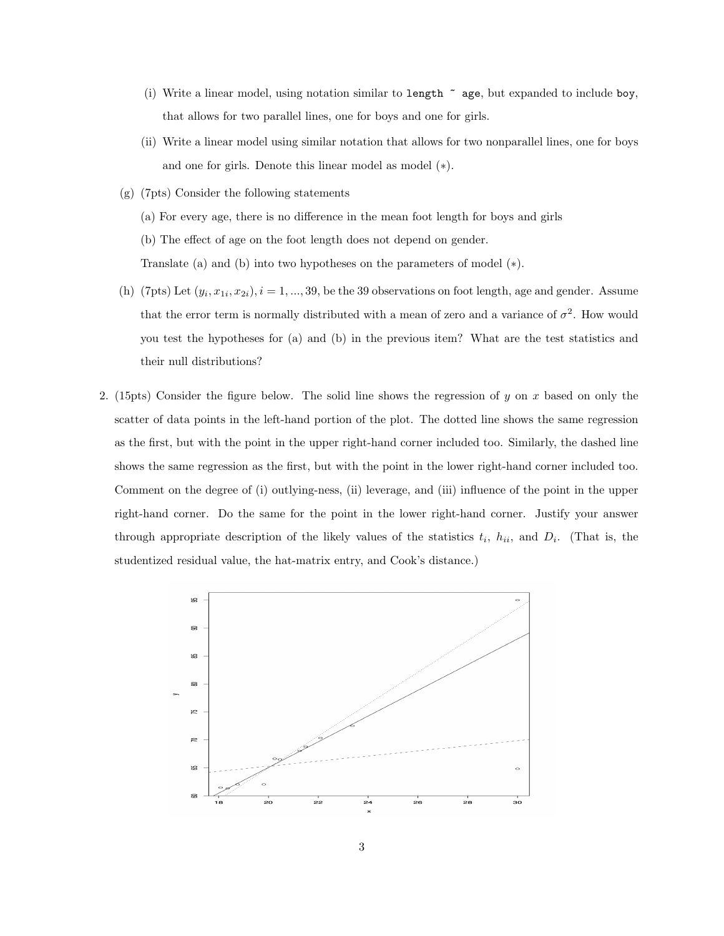- (i) Write a linear model, using notation similar to length  $\tilde{\phantom{a}}$  age, but expanded to include boy, that allows for two parallel lines, one for boys and one for girls.
- (ii) Write a linear model using similar notation that allows for two nonparallel lines, one for boys and one for girls. Denote this linear model as model (∗).
- (g) (7pts) Consider the following statements
	- (a) For every age, there is no difference in the mean foot length for boys and girls
	- (b) The effect of age on the foot length does not depend on gender.

Translate (a) and (b) into two hypotheses on the parameters of model (∗).

- (h) (7pts) Let  $(y_i, x_{1i}, x_{2i}), i = 1, ..., 39$ , be the 39 observations on foot length, age and gender. Assume that the error term is normally distributed with a mean of zero and a variance of  $\sigma^2$ . How would you test the hypotheses for (a) and (b) in the previous item? What are the test statistics and their null distributions?
- 2. (15pts) Consider the figure below. The solid line shows the regression of y on x based on only the scatter of data points in the left-hand portion of the plot. The dotted line shows the same regression as the first, but with the point in the upper right-hand corner included too. Similarly, the dashed line shows the same regression as the first, but with the point in the lower right-hand corner included too. Comment on the degree of (i) outlying-ness, (ii) leverage, and (iii) influence of the point in the upper right-hand corner. Do the same for the point in the lower right-hand corner. Justify your answer through appropriate description of the likely values of the statistics  $t_i$ ,  $h_{ii}$ , and  $D_i$ . (That is, the studentized residual value, the hat-matrix entry, and Cook's distance.)

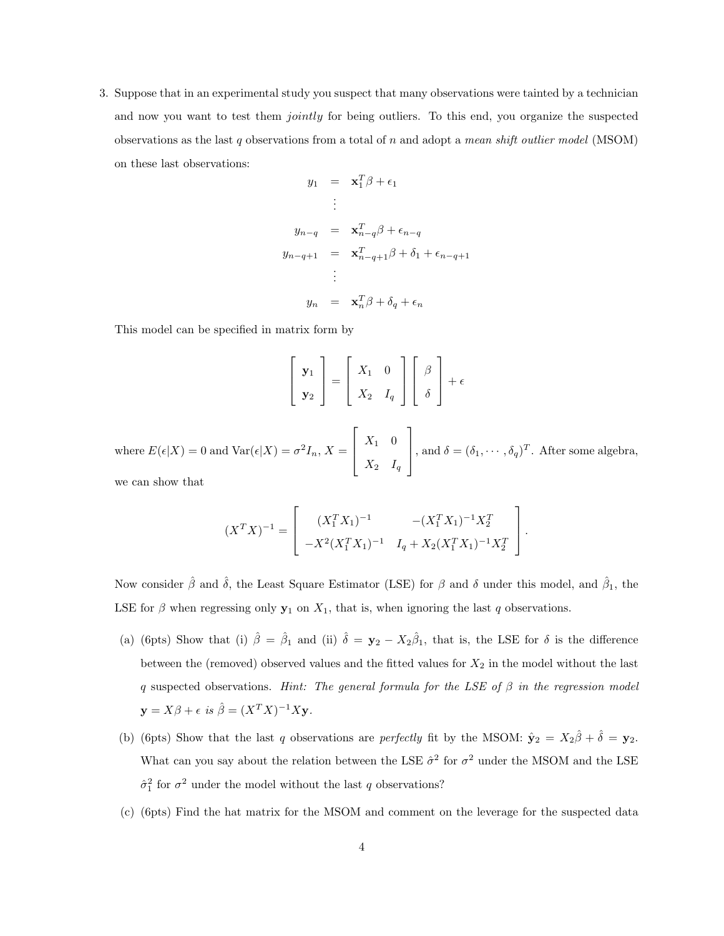3. Suppose that in an experimental study you suspect that many observations were tainted by a technician and now you want to test them *jointly* for being outliers. To this end, you organize the suspected observations as the last q observations from a total of  $n$  and adopt a mean shift outlier model (MSOM) on these last observations:

$$
y_1 = \mathbf{x}_1^T \boldsymbol{\beta} + \epsilon_1
$$
  
\n
$$
\vdots
$$
  
\n
$$
y_{n-q} = \mathbf{x}_{n-q}^T \boldsymbol{\beta} + \epsilon_{n-q}
$$
  
\n
$$
y_{n-q+1} = \mathbf{x}_{n-q+1}^T \boldsymbol{\beta} + \delta_1 + \epsilon_{n-q+1}
$$
  
\n
$$
\vdots
$$
  
\n
$$
y_n = \mathbf{x}_n^T \boldsymbol{\beta} + \delta_q + \epsilon_n
$$

This model can be specified in matrix form by

$$
\begin{bmatrix} \mathbf{y}_1 \\ \mathbf{y}_2 \end{bmatrix} = \begin{bmatrix} X_1 & 0 \\ X_2 & I_q \end{bmatrix} \begin{bmatrix} \beta \\ \delta \end{bmatrix} + \epsilon
$$

where  $E(\epsilon|X) = 0$  and  $Var(\epsilon|X) = \sigma^2 I_n$ ,  $X =$  $X_1$  0  $X_2$   $I_q$ , and  $\delta = (\delta_1, \dots, \delta_q)^T$ . After some algebra, we can show that

> 1  $\perp$  $\vert \cdot$

$$
(X^T X)^{-1} = \begin{bmatrix} (X_1^T X_1)^{-1} & -(X_1^T X_1)^{-1} X_2^T \\ -X^2 (X_1^T X_1)^{-1} & I_q + X_2 (X_1^T X_1)^{-1} X_2^T \end{bmatrix}
$$

Now consider  $\hat{\beta}$  and  $\hat{\delta}$ , the Least Square Estimator (LSE) for  $\beta$  and  $\delta$  under this model, and  $\hat{\beta}_1$ , the LSE for  $\beta$  when regressing only  $y_1$  on  $X_1$ , that is, when ignoring the last q observations.

- (a) (6pts) Show that (i)  $\hat{\beta} = \hat{\beta}_1$  and (ii)  $\hat{\delta} = \mathbf{y}_2 X_2\hat{\beta}_1$ , that is, the LSE for  $\delta$  is the difference between the (removed) observed values and the fitted values for  $X_2$  in the model without the last q suspected observations. Hint: The general formula for the LSE of  $\beta$  in the regression model  $\mathbf{y} = X\beta + \epsilon \ \text{is} \ \hat{\beta} = (X^T X)^{-1} X \mathbf{y}.$
- (b) (6pts) Show that the last q observations are perfectly fit by the MSOM:  $\hat{\mathbf{y}}_2 = X_2 \hat{\beta} + \hat{\delta} = \mathbf{y}_2$ . What can you say about the relation between the LSE  $\hat{\sigma}^2$  for  $\sigma^2$  under the MSOM and the LSE  $\hat{\sigma}_1^2$  for  $\sigma^2$  under the model without the last q observations?
- (c) (6pts) Find the hat matrix for the MSOM and comment on the leverage for the suspected data